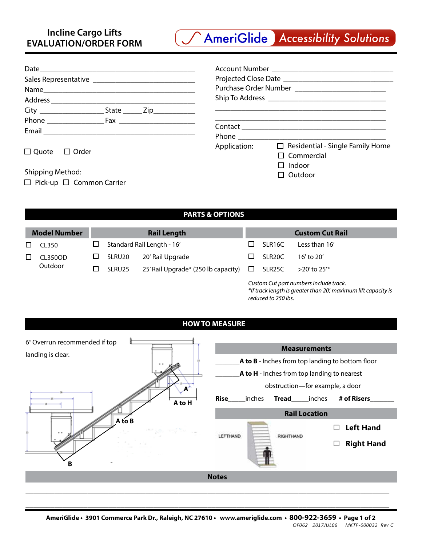

| Name |  |
|------|--|
|      |  |
|      |  |
|      |  |
|      |  |
|      |  |

| Account Number ________________________ |                                         |  |  |  |  |  |  |  |
|-----------------------------------------|-----------------------------------------|--|--|--|--|--|--|--|
|                                         |                                         |  |  |  |  |  |  |  |
|                                         |                                         |  |  |  |  |  |  |  |
|                                         |                                         |  |  |  |  |  |  |  |
|                                         |                                         |  |  |  |  |  |  |  |
|                                         |                                         |  |  |  |  |  |  |  |
|                                         | Phone <u>___________________</u>        |  |  |  |  |  |  |  |
| Application:                            | $\Box$ Residential - Single Family Home |  |  |  |  |  |  |  |
|                                         | $\Box$ Commercial                       |  |  |  |  |  |  |  |
|                                         | $\Box$ Indoor                           |  |  |  |  |  |  |  |
|                                         | $\sqsupset$ Outdoor                     |  |  |  |  |  |  |  |

□ Quote □ Order

Shipping Method:

 $\Box$  Pick-up  $\Box$  Common Carrier

## **PARTS & OPTIONS**

| <b>Model Number</b><br><b>Rail Length</b> |         |        | <b>Custom Cut Rail</b>     |                                     |                                                                                                                                 |                     |                 |
|-------------------------------------------|---------|--------|----------------------------|-------------------------------------|---------------------------------------------------------------------------------------------------------------------------------|---------------------|-----------------|
|                                           | CL350   | D      | Standard Rail Length - 16' |                                     |                                                                                                                                 | SLR16C              | Less than 16'   |
|                                           | CL350OD | $\Box$ | SLRU <sub>20</sub>         | 20' Rail Upgrade                    |                                                                                                                                 | SLR <sub>20</sub> C | 16' to 20'      |
|                                           | Outdoor |        | SLRU25                     | 25' Rail Upgrade* (250 lb capacity) |                                                                                                                                 | SLR <sub>25</sub> C | $>$ 20' to 25'* |
|                                           |         |        |                            |                                     | Custom Cut part numbers include track.<br>*If track length is greater than 20', maximum lift capacity is<br>reduced to 250 lbs. |                     |                 |

## **HOW TO MEASURE**



\_\_\_\_\_\_\_\_\_\_\_\_\_\_\_\_\_\_\_\_\_\_\_\_\_\_\_\_\_\_\_\_\_\_\_\_\_\_\_\_\_\_\_\_\_\_\_\_\_\_\_\_\_\_\_\_\_\_\_\_\_\_\_\_\_\_\_\_\_\_\_\_\_\_\_\_\_\_\_\_\_\_\_\_\_\_\_\_